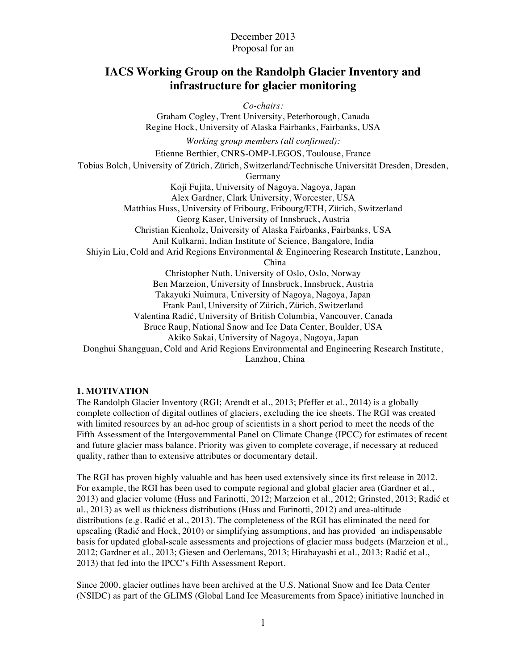## December 2013 Proposal for an

# **IACS Working Group on the Randolph Glacier Inventory and infrastructure for glacier monitoring**

*Co-chairs:* Graham Cogley, Trent University, Peterborough, Canada Regine Hock, University of Alaska Fairbanks, Fairbanks, USA *Working group members (all confirmed):* Etienne Berthier, CNRS-OMP-LEGOS, Toulouse, France Tobias Bolch, University of Zürich, Zürich, Switzerland/Technische Universität Dresden, Dresden, Germany Koji Fujita, University of Nagoya, Nagoya, Japan Alex Gardner, Clark University, Worcester, USA Matthias Huss, University of Fribourg, Fribourg/ETH, Zürich, Switzerland Georg Kaser, University of Innsbruck, Austria Christian Kienholz, University of Alaska Fairbanks, Fairbanks, USA Anil Kulkarni, Indian Institute of Science, Bangalore, India Shiyin Liu, Cold and Arid Regions Environmental & Engineering Research Institute, Lanzhou, China Christopher Nuth, University of Oslo, Oslo, Norway Ben Marzeion, University of Innsbruck, Innsbruck, Austria Takayuki Nuimura, University of Nagoya, Nagoya, Japan Frank Paul, University of Zürich, Zürich, Switzerland Valentina Radić, University of British Columbia, Vancouver, Canada Bruce Raup, National Snow and Ice Data Center, Boulder, USA Akiko Sakai, University of Nagoya, Nagoya, Japan Donghui Shangguan, Cold and Arid Regions Environmental and Engineering Research Institute, Lanzhou, China

## **1. MOTIVATION**

The Randolph Glacier Inventory (RGI; Arendt et al., 2013; Pfeffer et al., 2014) is a globally complete collection of digital outlines of glaciers, excluding the ice sheets. The RGI was created with limited resources by an ad-hoc group of scientists in a short period to meet the needs of the Fifth Assessment of the Intergovernmental Panel on Climate Change (IPCC) for estimates of recent and future glacier mass balance. Priority was given to complete coverage, if necessary at reduced quality, rather than to extensive attributes or documentary detail.

The RGI has proven highly valuable and has been used extensively since its first release in 2012. For example, the RGI has been used to compute regional and global glacier area (Gardner et al., 2013) and glacier volume (Huss and Farinotti, 2012; Marzeion et al., 2012; Grinsted, 2013; Radić et al., 2013) as well as thickness distributions (Huss and Farinotti, 2012) and area-altitude distributions (e.g. Radić et al., 2013). The completeness of the RGI has eliminated the need for upscaling (Radić and Hock, 2010) or simplifying assumptions, and has provided an indispensable basis for updated global-scale assessments and projections of glacier mass budgets (Marzeion et al., 2012; Gardner et al., 2013; Giesen and Oerlemans, 2013; Hirabayashi et al., 2013; Radić et al., 2013) that fed into the IPCC's Fifth Assessment Report.

Since 2000, glacier outlines have been archived at the U.S. National Snow and Ice Data Center (NSIDC) as part of the GLIMS (Global Land Ice Measurements from Space) initiative launched in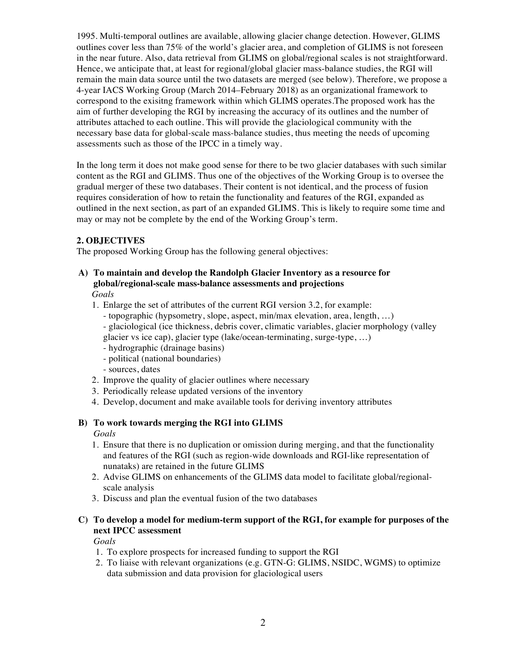1995. Multi-temporal outlines are available, allowing glacier change detection. However, GLIMS outlines cover less than 75% of the world's glacier area, and completion of GLIMS is not foreseen in the near future. Also, data retrieval from GLIMS on global/regional scales is not straightforward. Hence, we anticipate that, at least for regional/global glacier mass-balance studies, the RGI will remain the main data source until the two datasets are merged (see below). Therefore, we propose a 4-year IACS Working Group (March 2014–February 2018) as an organizational framework to correspond to the exisitng framework within which GLIMS operates.The proposed work has the aim of further developing the RGI by increasing the accuracy of its outlines and the number of attributes attached to each outline. This will provide the glaciological community with the necessary base data for global-scale mass-balance studies, thus meeting the needs of upcoming assessments such as those of the IPCC in a timely way.

In the long term it does not make good sense for there to be two glacier databases with such similar content as the RGI and GLIMS. Thus one of the objectives of the Working Group is to oversee the gradual merger of these two databases. Their content is not identical, and the process of fusion requires consideration of how to retain the functionality and features of the RGI, expanded as outlined in the next section, as part of an expanded GLIMS. This is likely to require some time and may or may not be complete by the end of the Working Group's term.

## **2. OBJECTIVES**

The proposed Working Group has the following general objectives:

### **A) To maintain and develop the Randolph Glacier Inventory as a resource for global/regional-scale mass-balance assessments and projections** *Goals*

- 1. Enlarge the set of attributes of the current RGI version 3.2, for example:
	- topographic (hypsometry, slope, aspect, min/max elevation, area, length, …)
	- glaciological (ice thickness, debris cover, climatic variables, glacier morphology (valley
	- glacier vs ice cap), glacier type (lake/ocean-terminating, surge-type, …)
	- hydrographic (drainage basins)
	- political (national boundaries)
	- sources, dates
- 2. Improve the quality of glacier outlines where necessary
- 3. Periodically release updated versions of the inventory
- 4. Develop, document and make available tools for deriving inventory attributes

## **B) To work towards merging the RGI into GLIMS**

*Goals*

- 1. Ensure that there is no duplication or omission during merging, and that the functionality and features of the RGI (such as region-wide downloads and RGI-like representation of nunataks) are retained in the future GLIMS
- 2. Advise GLIMS on enhancements of the GLIMS data model to facilitate global/regionalscale analysis
- 3. Discuss and plan the eventual fusion of the two databases

## **C) To develop a model for medium-term support of the RGI, for example for purposes of the next IPCC assessment**

*Goals*

- 1. To explore prospects for increased funding to support the RGI
- 2. To liaise with relevant organizations (e.g. GTN-G: GLIMS, NSIDC, WGMS) to optimize data submission and data provision for glaciological users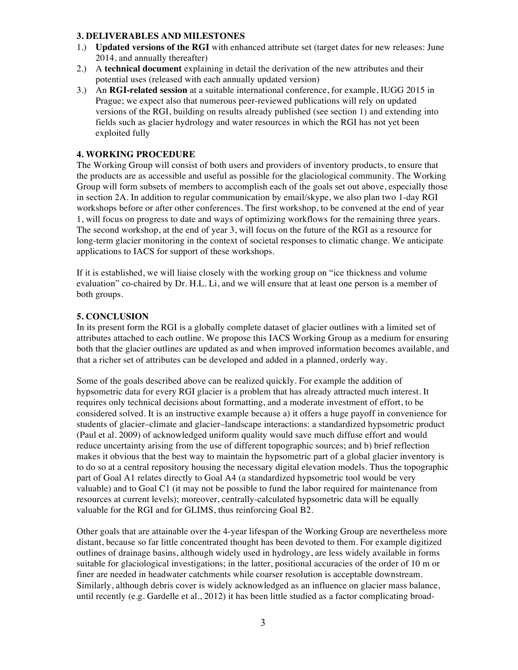### **3. DELIVERABLES AND MILESTONES**

- 1.) **Updated versions of the RGI** with enhanced attribute set (target dates for new releases: June 2014, and annually thereafter)
- 2.) A **technical document** explaining in detail the derivation of the new attributes and their potential uses (released with each annually updated version)
- 3.) An **RGI-related session** at a suitable international conference, for example, IUGG 2015 in Prague; we expect also that numerous peer-reviewed publications will rely on updated versions of the RGI, building on results already published (see section 1) and extending into fields such as glacier hydrology and water resources in which the RGI has not yet been exploited fully

## **4. WORKING PROCEDURE**

The Working Group will consist of both users and providers of inventory products, to ensure that the products are as accessible and useful as possible for the glaciological community. The Working Group will form subsets of members to accomplish each of the goals set out above, especially those in section 2A. In addition to regular communication by email/skype, we also plan two 1-day RGI workshops before or after other conferences. The first workshop, to be convened at the end of year 1, will focus on progress to date and ways of optimizing workflows for the remaining three years. The second workshop, at the end of year 3, will focus on the future of the RGI as a resource for long-term glacier monitoring in the context of societal responses to climatic change. We anticipate applications to IACS for support of these workshops.

If it is established, we will liaise closely with the working group on "ice thickness and volume evaluation" co-chaired by Dr. H.L. Li, and we will ensure that at least one person is a member of both groups.

### **5. CONCLUSION**

In its present form the RGI is a globally complete dataset of glacier outlines with a limited set of attributes attached to each outline. We propose this IACS Working Group as a medium for ensuring both that the glacier outlines are updated as and when improved information becomes available, and that a richer set of attributes can be developed and added in a planned, orderly way.

Some of the goals described above can be realized quickly. For example the addition of hypsometric data for every RGI glacier is a problem that has already attracted much interest. It requires only technical decisions about formatting, and a moderate investment of effort, to be considered solved. It is an instructive example because a) it offers a huge payoff in convenience for students of glacier–climate and glacier–landscape interactions: a standardized hypsometric product (Paul et al. 2009) of acknowledged uniform quality would save much diffuse effort and would reduce uncertainty arising from the use of different topographic sources; and b) brief reflection makes it obvious that the best way to maintain the hypsometric part of a global glacier inventory is to do so at a central repository housing the necessary digital elevation models. Thus the topographic part of Goal A1 relates directly to Goal A4 (a standardized hypsometric tool would be very valuable) and to Goal C1 (it may not be possible to fund the labor required for maintenance from resources at current levels); moreover, centrally-calculated hypsometric data will be equally valuable for the RGI and for GLIMS, thus reinforcing Goal B2.

Other goals that are attainable over the 4-year lifespan of the Working Group are nevertheless more distant, because so far little concentrated thought has been devoted to them. For example digitized outlines of drainage basins, although widely used in hydrology, are less widely available in forms suitable for glaciological investigations; in the latter, positional accuracies of the order of 10 m or finer are needed in headwater catchments while coarser resolution is acceptable downstream. Similarly, although debris cover is widely acknowledged as an influence on glacier mass balance, until recently (e.g. Gardelle et al., 2012) it has been little studied as a factor complicating broad